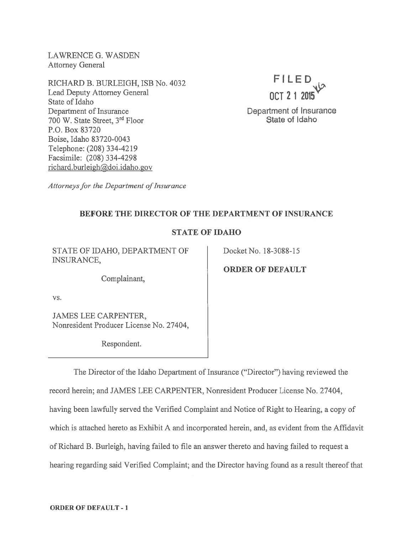LAWRENCE G. WASDEN Attorney General

RICHARD B. BURLEIGH, ISB No. 4032 Lead Deputy Attorney General State of Idaho Department of Insurance <sup>700</sup> W. State Street, 3rd Floor P.O. Box 83720 Boise, Idaho 83 720-0043 Telephone: (208) 334-4219 Facsimile: (208) 334-4298 richard.burleigh@doi.idaho.gov



Attorneys for the Department of Insurance

#### BEFORE THE DIRECTOR OF THE DEPARTMENT OF INSURANCE

### STATE OF IDAHO

STATE OF IDAHO, DEPARTMENT OF Docket No. 18-3088-15 INSURANCE,

Complainant,

vs.

JAMES LEE CARPENTER, Nonresident Producer License No. 27404,

Respondent.

ORDER OF DEFAULT

The Director of the Idaho Department of Insurance ("Director") having reviewed the record herein; and JAMES LEE CARPENTER, Nonresident Producer License No. 27404, having been lawfully served the Verified Complaint and Notice of Right to Hearing, <sup>a</sup> copy of which is attached hereto as Exhibit A and incorporated herein, and, as evident from the Affidavit of Richard B. Burleigh, having failed to file an answer thereto and having failed to reques<sup>t</sup> <sup>a</sup> hearing regarding said Verified Complaint; and the Director having found as <sup>a</sup> result thereof that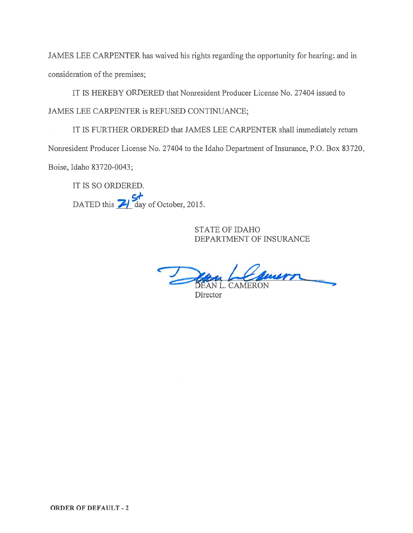JAMES LEE CARPENTER has waived his rights regarding the opportunity for hearing; and in consideration of the premises;

IT IS HEREBY ORDERED that Nonresident Producer License No. 27404 issued to JAMES LEE CARPENTER is REFUSED CONTINUANCE;

IT IS FURTHER ORDERED that JAMES LEE CARPENTER shall immediately return Nonresident Producer License No. 27404 to the Idaho Department of Insurance, P.O. Box 83720, Boise, Idaho 83720-0043;

IT IS SO ORDERED. DATED this  $\frac{S_f}{S_f}$  day of October, 2015.

> STATE OF IDAHO DEPARTMENT OF INSURANCE

wern AN L. CAMERON

**Director**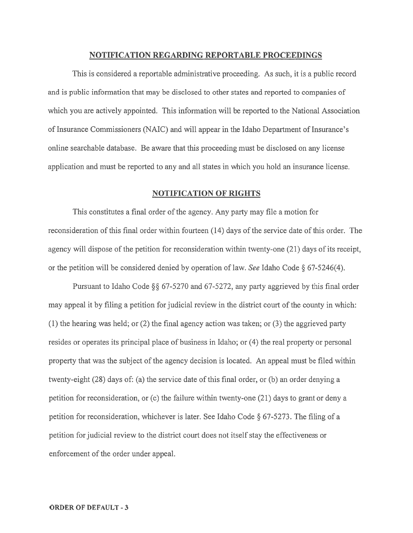#### NOTIFICATION REGARDING REPORTABLE PROCEEDINGS

This is considered <sup>a</sup> reportable administrative proceeding. As such, it is <sup>a</sup> public record and is public information that may be disclosed to other states and reported to companies of which you are actively appointed. This information will be reported to the National Association of Insurance Commissioners (NAIC) and will appear in the Idaho Department of Insurance's online searchable database. Be aware that this proceeding must be disclosed on any license application and must be reported to any and all states in which you hold an insurance license.

#### NOTIFICATION OF RIGHTS

This constitutes <sup>a</sup> final order of the agency. Any party may file <sup>a</sup> motion for reconsideration of this final order within fourteen (14) days of the service date of this order. The agency will dispose of the petition for reconsideration within twenty-one (21) days of its receipt, or the petition will be considered denied by operation of law. See Idaho Code § 67-5246(4).

Pursuant to Idaho Code  $\S$ § 67-5270 and 67-5272, any party aggrieved by this final order may appeal it by filing a petition for judicial review in the district court of the county in which: (1) the hearing was held; or (2) the final agency action was taken; or (3) the aggrieved party resides or operates its principal place of business in Idaho; or (4) the real property or personal property that was the subject of the agency decision is located. An appeal must be filed within twenty-eight  $(28)$  days of: (a) the service date of this final order, or (b) an order denying a petition for reconsideration, or (c) the failure within twenty-one (21) days to gran<sup>t</sup> or deny <sup>a</sup> petition for reconsideration, whichever is later. See Idaho Code § 67-5273. The filing of <sup>a</sup> petition for judicial review to the district court does not itself stay the effectiveness or enforcement of the order under appeal.

#### ORDER OF DEFAULT -3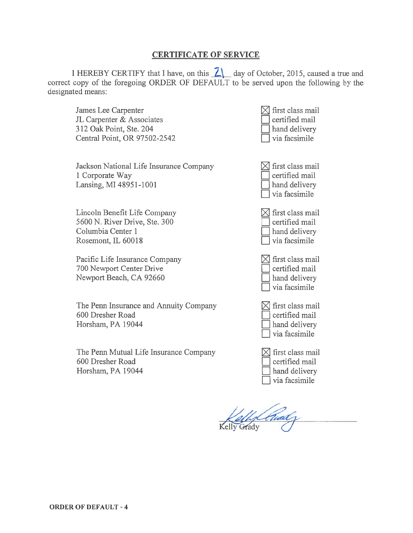## CERTIFICATE OF SERVICE

I HEREBY CERTIFY that I have, on this  $\overline{Z}$  day of October, 2015, caused a true and correct copy of the foregoing ORDER OF DEFAULT to be served upon the following by the designated means:

James Lee Carpenter JL Carpenter & Associates 312 Oak Point, Ste. 204 Central Point, OR 97502-2542

Jackson National Life Insurance Company 1 Corporate Way Lansing, MI 48951-1001

Lincoln Benefit Life Company 5600 N. River Drive, Ste. 300 Columbia Center 1 Rosemont, IL 60018

Pacific Life Insurance Company 700 Newport Center Drive Newport Beach, CA 92660

The Perm Insurance and Annuity Company 600 Dresher Road Horsham, PA 19044

The Penn Mutual Life Insurance Company 600 Dresher Road Horsham, PA 19044

- $\boxtimes$  first class mail certified mail hand delivery via facsimile
- $\boxtimes$  first class mail certified mail<br>hand delivery LI via facsimile

 $\boxtimes$  first class mail certified mail hand delivery I via facsimile

 $\boxtimes$  first class mail certified mail hand delivery via facsimile

 $\boxtimes$  first class mail certified mail hand delivery via facsimile

 $\boxtimes$  first class mail certified mail hand delivery via facsimile

Kelly Grady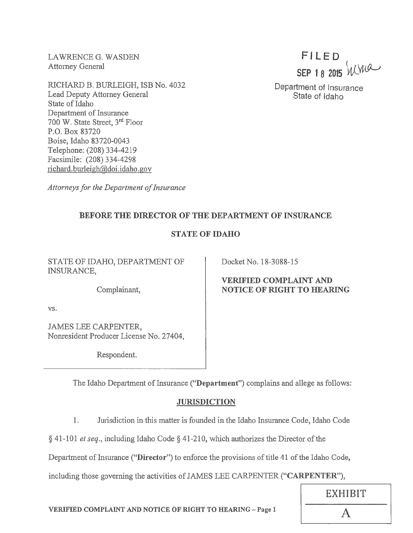LAWRENCE G. WASDEN Attorney General

RICHARD B. BURLEIGH, ISB No. 4032 Lead Deputy Attorney General State of Idaho Department of Insurance 700 W. State Street, 3rd Floor P.O. Box 83720 Boise, Idaho 83720-0043 Telephone: (208) 334-4219 Facsimile: (208) 334-4298 richard.burleigh@doi.idaho.gov

FILED SEP 18 2015 WWW

Department of Insurance State of Idaho

Attorneys for the Department of Insurance

## BEFORE THE DIRECTOR OF THE DEPARTMENT OF INSURANCE

## STATE OF IDAHO

STATE OF IDAHO, DEPARTMENT OF INSURANCE,

Complainant,

vs.

JAMES LEE CARPENTER, Nonresident Producer License No. 27404,

Respondent.

Docket No. 18-3088-15

## VERIFIED COMPLAINT AND NOTICE OF RIGHT TO HEARING

The Idaho Department of Insurance ("Department") complains and allege as follows:

# **JURISDICTION**

1. Jurisdiction in this matter is founded in the Idaho Insurance Code, Idaho Code

 $§$  41-101 *et seq.*, including Idaho Code  $§$  41-210, which authorizes the Director of the

Department of Insurance ("Director") to enforce the provisions of title 41 of the Idaho Code,

including those governing the activities of JAMES LEE CARPENTER ("CARPENTER"),

VERIFIED COMPLAINT AND NOTICE OF RIGHT TO HEARING - Page 1  $\overline{A}$ 

EXHIBIT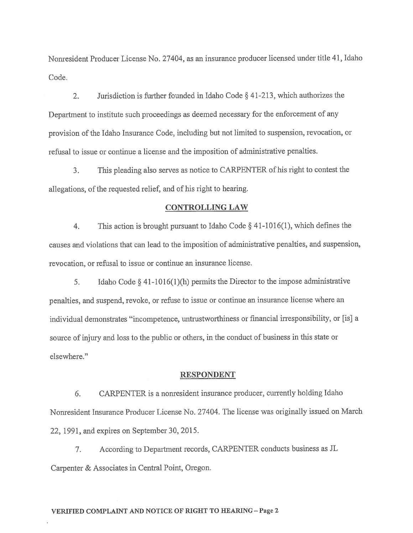Nonresident Producer License No. 27404, as an insurance producer licensed under title 41, Idaho Code.

2. Jurisdiction is further founded in Idaho Code § 41-213, which authorizes the Department to institute such proceedings as deemed necessary for the enforcement of any provision of the Idaho Insurance Code, including but not limited to suspension, revocation, or refusal to issue or continue <sup>a</sup> license and the imposition of administrative penalties.

3. This <sup>p</sup>leading also serves as notice to CARPENTER of his right to contest the allegations, of the requested relief, and of his right to hearing.

#### CONTROLLING LAW

4. This action is brought pursuan<sup>t</sup> to Idaho Code § 41-1016(1), which defines the causes and violations that can lead to the imposition of administrative penalties, and suspension, revocation, or refusal to issue or continue an insurance license.

5. Idaho Code § 41-10l6(1)(h) permits the Director to the impose administrative penalties, and suspend, revoke, or refuse to issue or continue an insurance license where an individual demonstrates "incompetence, untrustworthiness or financial irresponsibility, or [is] a source of injury and loss to the public or others, in the conduct of business in this state or elsewhere."

#### RESPONDENT

6. CARPENTER is <sup>a</sup> nonresident insurance producer, currently holding Idaho Nonresident Insurance Producer License No. 27404. The license was originally issued on March 22, 1991, and expires on September 30, 2015.

7. According to Department records, CARPENTER conducts business as JL Carpenter & Associates in Central Point, Oregon.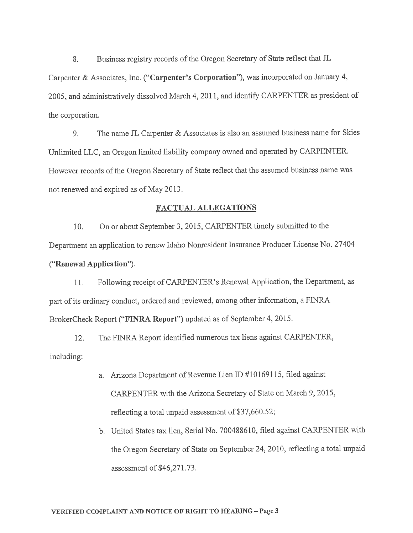8. Business registry records of the Oregon Secretary of State reflect that JL Carpenter & Associates, Inc. ("Carpenter's Corporation"), was incorporated on January 4, 2005, and administratively dissolved March 4, 2011, and identify CARPENTER as president of the corporation.

9. The name JL Carpenter  $&$  Associates is also an assumed business name for Skies Unlimited LLC, an Oregon limited liability company owned and operated by CARPENTER. However records of the Oregon Secretary of State reflect that the assumed business name was not renewed and expired as of May 2013.

#### FACTUAL ALLEGATIONS

10. On or about September 3, 2015, CARPENTER timely submitted to the Department an application to renew Idaho Nonresident Insurance Producer License No. <sup>27404</sup> ("Renewal Application").

11. Following receipt of CARPENTER' <sup>s</sup> Renewal Application, the Department, as part of its ordinary conduct, ordered and reviewed, among other information, a FINRA BrokerCheck Report ("FINRA Report") updated as of September 4, 2015.

12. The FINRA Report identified numerous tax liens against CARPENTER, including:

- a. Arizona Department of Revenue Lien ID #10169115, filed against CARPENTER with the Arizona Secretary of State on March 9, 2015, reflecting <sup>a</sup> total unpaid assessment of \$37,660.52;
- b. United States tax lien, Serial No. 700488610, filed against CARPENTER with the Oregon Secretary of State on September 24, 2010, reflecting <sup>a</sup> total unpaid assessment of \$46,271.73.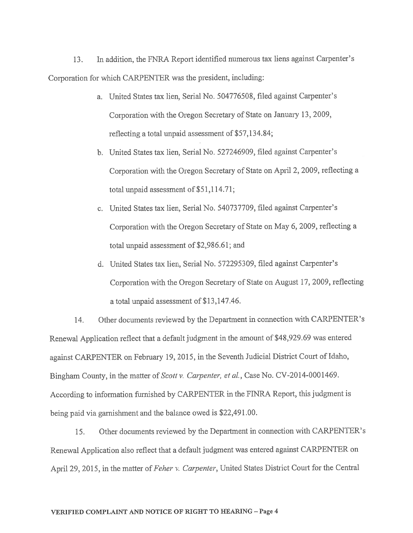13. In addition, the FNRA Report identified numerous tax liens against Carpenter's Corporation for which CARPENTER was the president, including:

- a. United States tax lien, Serial No. 504776508, filed against Carpenter's Corporation with the Oregon Secretary of State on January 13, 2009, reflecting <sup>a</sup> total unpaid assessment of \$57,134.84;
- b. United States tax lien, Serial No. 527246909, filed against Carpenter's Corporation with the Oregon Secretary of State on April 2, 2009, reflecting <sup>a</sup> total unpaid assessment of \$51,114.71;
- c. United States tax lien, Serial No. 540737709, filed against Carpenter's Corporation with the Oregon Secretary of State on May 6, 2009, reflecting <sup>a</sup> total unpaid assessment of \$2,986.61; and
- d. United States tax lien, Serial No. 572295309, filed against Carpenter's Corporation with the Oregon Secretary of State on August 17, 2009, reflecting a total unpaid assessment of \$13,147.46.

14. Other documents reviewed by the Department in connection with CARPENTER's Renewal Application reflect that <sup>a</sup> default judgment in the amount of \$48,929.69 was entered against CARPENTER on February 19, 2015, in the Seventh Judicial District Court of Idaho, Bingham County, in the matter of Scott v. Carpenter, et al., Case No. CV-2014-0001469. According to information furnished by CARPENTER in the FfNRA Report, this judgment is being paid via garnishment and the balance owed is \$22,491.00.

15. Other documents reviewed by the Department in connection with CARPENTER's Renewal Application also reflect that <sup>a</sup> default judgment was entered against CARPENTER on April 29, 2015, in the matter of Feher v. Carpenter, United States District Court for the Central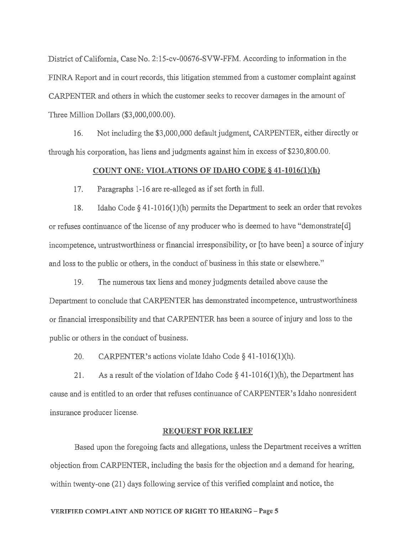District of California, Case No. 2:15-cv-00676-SVW-FFM. According to information in the FTNRA Report and in court records, this litigation stemmed from <sup>a</sup> customer complaint against CARPENTER and others in which the customer seeks to recover damages in the amount of Three Million Dollars (\$3,000,000.00).

16. Not including the \$3,000,000 default judgment, CARPENTER, either directly or through his corporation, has liens and judgments against him in excess of \$230,800.00.

### COUNT ONE: VIOLATIONS OF IDAHO CODE § 41-1016(1)(h)

17. Paragraphs 1-16 are re-alleged as if set forth in full.

18. Idaho Code § 41-1016(1)(h) permits the Department to seek an order that revokes or refuses continuance of the license of any producer who is deemed to have "dernonstrate[d] incompetence, untrustworthiness or financial irresponsibility, or [to have been] <sup>a</sup> source of injury and loss to the public or others, in the conduct of business in this state or elsewhere."

19. The numerous tax liens and money judgments detailed above cause the Department to conclude that CARPENTER has demonstrated incompetence, untrustworthiness or financial irresponsibility and that CARPENTER has been <sup>a</sup> source of injury and loss to the public or others in the conduct of business.

20. CARPENTER's actions violate Idaho Code § 41-1016(1)(h).

21. As a result of the violation of Idaho Code  $\S$  41-1016(1)(h), the Department has cause and is entitled to an order that refuses continuance of CARPENTER's Idaho nonresident insurance producer license.

#### REQUEST FOR RELIEF

Based upon the foregoing facts and allegations, unless the Department receives <sup>a</sup> written objection from CARPENTER, including the basis for the objection and <sup>a</sup> demand for hearing, within twenty-one (21) days following service of this verified complaint and notice, the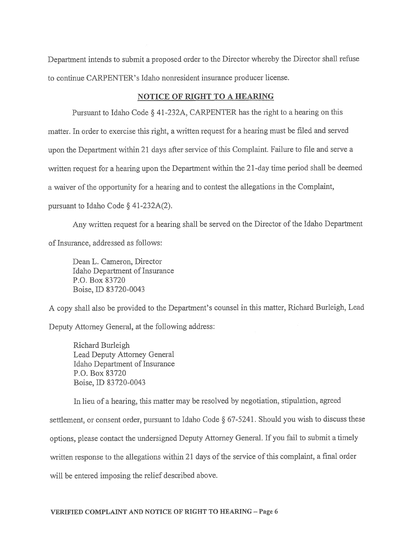Department intends to submit <sup>a</sup> propose<sup>d</sup> order to the Director whereby the Director shall refuse to continue CARPENTER's Idaho nonresident insurance producer license.

## NOTICE OF RIGHT TO A HEARING

Pursuant to Idaho Code § 41-232A, CARPENTER has the right to <sup>a</sup> hearing on this matter. In order to exercise this right, <sup>a</sup> written reques<sup>t</sup> for <sup>a</sup> hearing must be filed and served upon the Department within <sup>21</sup> days after service of this Complaint. Failure to file and serve <sup>a</sup> written reques<sup>t</sup> for <sup>a</sup> hearing upon the Department within the 21-day time period shall be deemed <sup>a</sup> waiver of the opportunity for <sup>a</sup> hearing and to contest the allegations in the Complaint, pursuan<sup>t</sup> to Idaho Code § 41-232A(2).

Any written request for a hearing shall be served on the Director of the Idaho Department of Insurance, addressed as follows:

Dean L. Cameron, Director Idaho Department of Insurance P.O. Box 83720 Boise, ID 83720-0043

<sup>A</sup> copy shall also be provided to the Department's counsel in this matter, Richard Burleigh, Lead Deputy Attorney General, at the following address:

Richard Burleigh Lead Deputy Attorney General Idaho Department of Insurance P.O. Box 83720 Boise, ID 83720-0043

In lieu of <sup>a</sup> hearing, this matter may be resolved by negotiation, stipulation, agreed settlement, or consent order, pursuan<sup>t</sup> to Idaho Code § 67-5241. Should you wish to discuss these options, <sup>p</sup>lease contact the undersigned Deputy Attorney General. If you fail to submit <sup>a</sup> timely written response to the allegations within 21 days of the service of this complaint, a final order will be entered imposing the relief described above.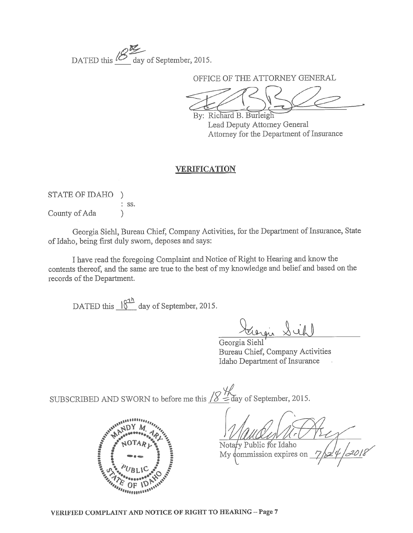DATED this  $\mathcal{Q}$  day of September, 2015

OFFICE OF THE ATTORNEY GENERAL

By: Richard B. Burleigh Lead Deputy Attorney General Attorney for the Department of Insurance

# VERIFICATION

STATE OF IDAHO ) ss. County of Ada (b)

Georgia Siehi, Bureau Chief, Company Activities, for the Department of Insurance, State of Idaho, being first duly sworn, deposes and says:

I have read the foregoing Complaint and Notice of Right to Hearing and know the contents thereof, and the same are true to the best of my knowledge and belief and based on the records of the Department.

DATED this  $\frac{\sqrt{3}^h}{2}$  day of September, 2015.

<u>tragio Sich</u>

Georgia Siehi' Bureau Chief, Company Activities Idaho Department of Insurance

SUBSCRIBED AND SWORN to before me this  $\frac{1}{8}$   $\frac{1}{4}$  day of September, 2015.



Notary Public for Idaho

My commission expires on